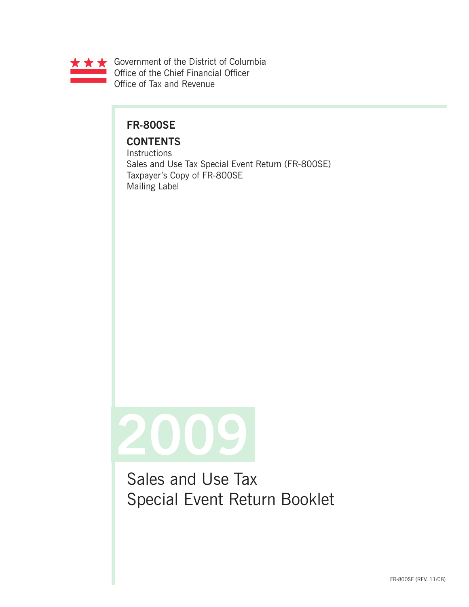

## **FR-800SE**

# **CONTENTS**

**Instructions** Sales and Use Tax Special Event Return (FR-800SE) Taxpayer's Copy of FR-800SE Mailing Label



Sales and Use Tax Special Event Return Booklet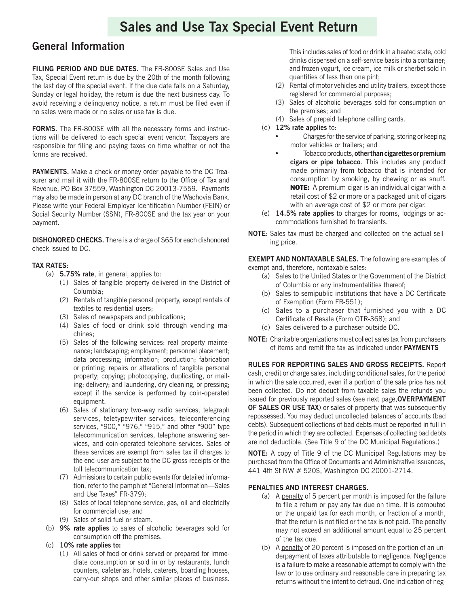# **Sales and Use Tax Special Event Return**

### **General Information**

**FILING PERIOD AND DUE DATES.** The FR-800SE Sales and Use Tax, Special Event return is due by the 20th of the month following the last day of the special event. If the due date falls on a Saturday, Sunday or legal holiday, the return is due the next business day. To avoid receiving a delinquency notice, a return must be filed even if no sales were made or no sales or use tax is due.

**FORMS.** The FR-800SE with all the necessary forms and instructions will be delivered to each special event vendor. Taxpayers are responsible for filing and paying taxes on time whether or not the forms are received.

**PAYMENTS.** Make a check or money order payable to the DC Treasurer and mail it with the FR-800SE return to the Office of Tax and Revenue, PO Box 37559, Washington DC 20013-7559. Payments may also be made in person at any DC branch of the Wachovia Bank. Please write your Federal Employer Identification Number (FEIN) or Social Security Number (SSN), FR-800SE and the tax year on your payment.

**DISHONORED CHECKS.** There is a charge of \$65 for each dishonored check issued to DC.

### **TAX RATES:**

- (a) **5.75% rate**, in general, applies to:
	- (1) Sales of tangible property delivered in the District of Columbia;
	- (2) Rentals of tangible personal property, except rentals of textiles to residential users;
	- (3) Sales of newspapers and publications;
	- (4) Sales of food or drink sold through vending machines;
	- (5) Sales of the following services: real property maintenance; landscaping; employment; personnel placement; data processing; information; production; fabrication or printing; repairs or alterations of tangible personal property; copying; photocopying, duplicating, or mailing; delivery; and laundering, dry cleaning, or pressing; except if the service is performed by coin-operated equipment.
	- (6) Sales of stationary two-way radio services, telegraph services, teletypewriter services, teleconferencing services, "900," "976," "915," and other "900" type telecommunication services, telephone answering services, and coin-operated telephone services. Sales of these services are exempt from sales tax if charges to the end-user are subject to the DC gross receipts or the toll telecommunication tax;
	- (7) Admissions to certain public events (for detailed information, refer to the pamphlet "General Information—Sales and Use Taxes" FR-379);
	- (8) Sales of local telephone service, gas, oil and electricity for commercial use; and
	- (9) Sales of solid fuel or steam.
- (b) **9% rate applies** to sales of alcoholic beverages sold for consumption off the premises.
- (c) **10% rate applies to:**
	- (1) All sales of food or drink served or prepared for immediate consumption or sold in or by restaurants, lunch counters, cafeterias, hotels, caterers, boarding houses, carry-out shops and other similar places of business.

This includes sales of food or drink in a heated state, cold drinks dispensed on a self-service basis into a container; and frozen yogurt, ice cream, ice milk or sherbet sold in quantities of less than one pint;

- (2) Rental of motor vehicles and utility trailers, except those registered for commercial purposes;
- (3) Sales of alcoholic beverages sold for consumption on the premises; and
- (4) Sales of prepaid telephone calling cards.
- (d) **12% rate applies** to:
	- Charges for the service of parking, storing or keeping motor vehicles or trailers; and
	- Tobacco products, **other than cigarettes or premium cigars or pipe tobacco**. This includes any product made primarily from tobacco that is intended for consumption by smoking, by chewing or as snuff. **NOTE:** A premium cigar is an individual cigar with a retail cost of \$2 or more or a packaged unit of cigars with an average cost of \$2 or more per cigar.
- (e) **14.5% rate applies** to charges for rooms, lodgings or accommodations furnished to transients.
- **NOTE:** Sales tax must be charged and collected on the actual selling price.

**EXEMPT AND NONTAXABLE SALES.** The following are examples of exempt and, therefore, nontaxable sales:

- (a) Sales to the United States or the Government of the District of Columbia or any instrumentalities thereof;
- (b) Sales to semipublic institutions that have a DC Certificate of Exemption (Form FR-551);
- (c) Sales to a purchaser that furnished you with a DC Certificate of Resale (Form OTR-368); and
- (d) Sales delivered to a purchaser outside DC.
- **NOTE:** Charitable organizations must collect sales tax from purchasers of items and remit the tax as indicated under **PAYMENTS**

**RULES FOR REPORTING SALES AND GROSS RECEIPTS.** Report cash, credit or charge sales, including conditional sales, for the period in which the sale occurred, even if a portion of the sale price has not been collected. Do not deduct from taxable sales the refunds you issued for previously reported sales (see next page,**OVERPAYMENT OF SALES OR USE TAX**) or sales of property that was subsequently repossessed. You may deduct uncollected balances of accounts (bad debts). Subsequent collections of bad debts must be reported in full in the period in which they are collected. Expenses of collecting bad debts are not deductible. (See Title 9 of the DC Municipal Regulations.)

**NOTE:** A copy of Title 9 of the DC Municipal Regulations may be purchased from the Office of Documents and Administrative Issuances, 441 4th St NW # 520S, Washington DC 20001-2714.

### **PENALTIES AND INTEREST CHARGES.**

- (a) A penalty of 5 percent per month is imposed for the failure to file a return or pay any tax due on time. It is computed on the unpaid tax for each month, or fraction of a month, that the return is not filed or the tax is not paid. The penalty may not exceed an additional amount equal to 25 percent of the tax due.
- (b) A penalty of 20 percent is imposed on the portion of an underpayment of taxes attributable to negligence. Negligence is a failure to make a reasonable attempt to comply with the law or to use ordinary and reasonable care in preparing tax returns without the intent to defraud. One indication of neg-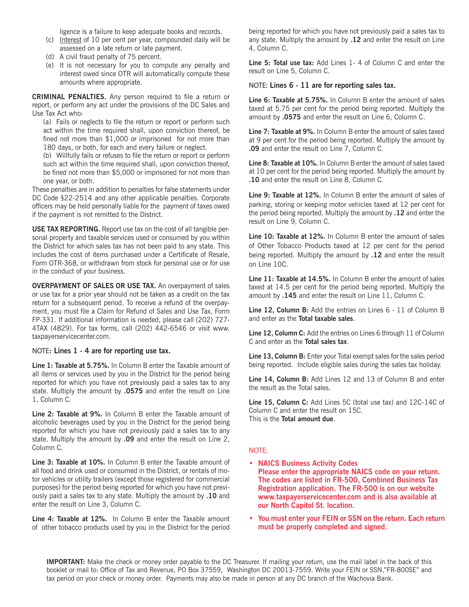ligence is a failure to keep adequate books and records.

- (c) Interest of 10 per cent per year, compounded daily will be assessed on a late return or late payment.
- (d) A civil fraud penalty of 75 percent.
- (e) It is not necessary for you to compute any penalty and interest owed since OTR will automatically compute these amounts where appropriate.

**CRIMINAL PENALTIES.** Any person required to file a return or report, or perform any act under the provisions of the DC Sales and Use Tax Act who:

(a) Fails or neglects to file the return or report or perform such act within the time required shall, upon conviction thereof, be fined not more than \$1,000 or imprisoned for not more than 180 days, or both, for each and every failure or neglect.

(b) Willfully fails or refuses to file the return or report or perform such act within the time required shall, upon conviction thereof, be fined not more than \$5,000 or imprisoned for not more than one year, or both.

These penalties are in addition to penalties for false statements under DC Code §22-2514 and any other applicable penalties. Corporate officers may be held personally liable for the payment of taxes owed if the payment is not remitted to the District.

**USE TAX REPORTING.** Report use tax on the cost of all tangible personal property and taxable services used or consumed by you within the District for which sales tax has not been paid to any state. This includes the cost of items purchased under a Certificate of Resale, Form OTR-368, or withdrawn from stock for personal use or for use in the conduct of your business.

**OVERPAYMENT OF SALES OR USE TAX.** An overpayment of sales or use tax for a prior year should not be taken as a credit on the tax return for a subsequent period. To receive a refund of the overpayment, you must file a Claim for Refund of Sales and Use Tax, Form FP-331. If additional information is needed, please call (202) 727- 4TAX (4829). For tax forms, call (202) 442-6546 or visit www. taxpayerservicecenter.com.

NOTE**: Lines 1 - 4 are for reporting use tax.**

**Line 1: Taxable at 5.75%.** In Column B enter the Taxable amount of all items or services used by you in the District for the period being reported for which you have not previously paid a sales tax to any state. Multiply the amount by **.0575** and enter the result on Line 1, Column C.

**Line 2: Taxable at 9%.** In Column B enter the Taxable amount of alcoholic beverages used by you in the District for the period being reported for which you have not previously paid a sales tax to any state. Multiply the amount by **.09** and enter the result on Line 2, Column C.

**Line 3: Taxable at 10%.** In Column B enter the Taxable amount of all food and drink used or consumed in the District, or rentals of motor vehicles or utility trailers (except those registered for commercial purposes) for the period being reported for which you have not previously paid a sales tax to any state. Multiply the amount by **.10** and enter the result on Line 3, Column C.

**Line 4: Taxable at 12%.** In Column B enter the Taxable amount of other tobacco products used by you in the District for the period

being reported for which you have not previously paid a sales tax to any state. Multiply the amount by **.12** and enter the result on Line 4, Column C.

**Line 5: Total use tax:** Add Lines 1- 4 of Column C and enter the result on Line 5, Column C.

NOTE: **Lines 6 - 11 are for reporting sales tax.**

**Line 6: Taxable at 5.75%.** In Column B enter the amount of sales taxed at 5.75 per cent for the period being reported. Multiply the amount by **.0575** and enter the result on Line 6, Column C.

**Line 7: Taxable at 9%.** In Column B enter the amount of sales taxed at 9 per cent for the period being reported. Multiply the amount by **.09** and enter the result on Line 7, Column C.

**Line 8: Taxable at 10%.** In Column B enter the amount of sales taxed at 10 per cent for the period being reported. Multiply the amount by **.10** and enter the result on Line 8, Column C.

**Line 9: Taxable at 12%.** In Column B enter the amount of sales of parking, storing or keeping motor vehicles taxed at 12 per cent for the period being reported. Multiply the amount by **.12** and enter the result on Line 9, Column C.

**Line 10: Taxable at 12%.** In Column B enter the amount of sales of Other Tobacco Products taxed at 12 per cent for the period being reported. Multiply the amount by **.12** and enter the result on Line 10C.

**Line 11: Taxable at 14.5%.** In Column B enter the amount of sales taxed at 14.5 per cent for the period being reported. Multiply the amount by **.145** and enter the result on Line 11, Column C.

**Line 12, Column B:** Add the entries on Lines 6 - 11 of Column B and enter as the **Total taxable sales**.

Line 12, Column C: Add the entries on Lines 6 through 11 of Column C and enter as the **Total sales tax**.

Line 13, Column B: Enter your Total exempt sales for the sales period being reported. Include eligible sales during the sales tax holiday.

**Line 14, Column B:** Add Lines 12 and 13 of Column B and enter the result as the Total sales.

**Line 15, Column C:** Add Lines 5C (total use tax) and 12C-14C of Column C and enter the result on 15C. This is the **Total amount due**.

### NOTE:

- **• NAICS Business Activity Codes Please enter the appropriate NAICS code on your return. The codes are listed in FR-500, Combined Business Tax Registration application. The FR-500 is on our website www.taxpayerservicecenter.com and is also available at our North Capitol St. location.**
- **• You must enter your FEIN or SSN on the return. Each return must be properly completed and signed.**

**IMPORTANT:** Make the check or money order payable to the DC Treasurer. If mailing your return, use the mail label in the back of this booklet or mail to: Office of Tax and Revenue, PO Box 37559, Washington DC 20013-7559. Write your FEIN or SSN,"FR-800SE" and tax period on your check or money order. Payments may also be made in person at any DC branch of the Wachovia Bank.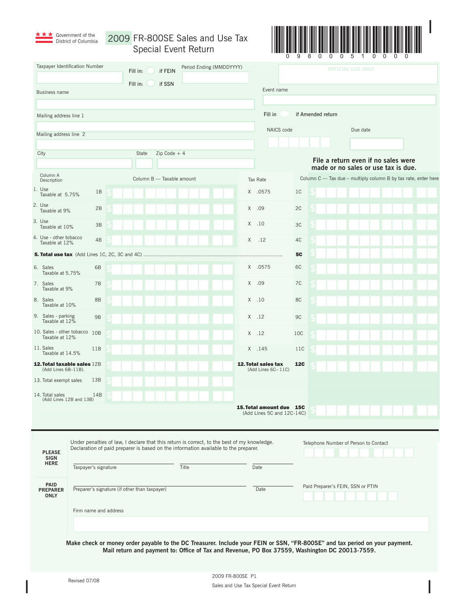

\* \* \* Government of the 2009 FR-800SE Sales and Use Tax Special Event Return



|                                                    | Taxpayer Identification Number                        | Fill in:<br>if FEIN                                                                                                                                                                                                           | Period Ending (MMDDYYYY) |                                                        |                                   |                   | <b>OFFICIAL USE ONLY</b>                                                   |  |  |  |  |
|----------------------------------------------------|-------------------------------------------------------|-------------------------------------------------------------------------------------------------------------------------------------------------------------------------------------------------------------------------------|--------------------------|--------------------------------------------------------|-----------------------------------|-------------------|----------------------------------------------------------------------------|--|--|--|--|
|                                                    | <b>Business name</b>                                  | Fill in:<br>if SSN                                                                                                                                                                                                            |                          | Event name                                             |                                   |                   |                                                                            |  |  |  |  |
| Mailing address line 1                             |                                                       |                                                                                                                                                                                                                               |                          | Fill in                                                |                                   | if Amended return |                                                                            |  |  |  |  |
| Mailing address line 2                             |                                                       |                                                                                                                                                                                                                               |                          |                                                        |                                   |                   | Due date                                                                   |  |  |  |  |
| City                                               |                                                       | $Zip Code + 4$<br>State                                                                                                                                                                                                       |                          |                                                        |                                   |                   |                                                                            |  |  |  |  |
|                                                    |                                                       |                                                                                                                                                                                                                               |                          |                                                        |                                   |                   | File a return even if no sales were<br>made or no sales or use tax is due. |  |  |  |  |
|                                                    | Column A<br>Description                               | Column B - Taxable amount                                                                                                                                                                                                     |                          | Tax Rate                                               |                                   |                   | Column C - Tax due - multiply column B by tax rate, enter here             |  |  |  |  |
| 1. Use                                             | 1B<br>Taxable at 5.75%                                |                                                                                                                                                                                                                               |                          | X .0575                                                | 1 <sup>C</sup>                    |                   |                                                                            |  |  |  |  |
|                                                    | 2. Use<br>2B<br>Taxable at 9%                         |                                                                                                                                                                                                                               |                          | X .09                                                  | 2C                                |                   |                                                                            |  |  |  |  |
| 3. Use                                             | 3B<br>Taxable at 10%                                  |                                                                                                                                                                                                                               |                          | $X$ .10                                                | 3C                                |                   |                                                                            |  |  |  |  |
|                                                    | 4. Use - other tobacco<br>4B<br>Taxable at 12%        |                                                                                                                                                                                                                               |                          | X<br>.12                                               | 4C                                |                   |                                                                            |  |  |  |  |
|                                                    | <b>5. Total use tax</b> (Add Lines 1C, 2C, 3C and 4C) |                                                                                                                                                                                                                               |                          |                                                        | <b>5C</b>                         |                   |                                                                            |  |  |  |  |
|                                                    | 6. Sales<br>6B<br>Taxable at 5.75%                    |                                                                                                                                                                                                                               |                          | X .0575                                                | 6C                                |                   |                                                                            |  |  |  |  |
|                                                    | 7. Sales<br>7B<br>Taxable at 9%                       |                                                                                                                                                                                                                               |                          | X .09                                                  | 7C                                |                   |                                                                            |  |  |  |  |
|                                                    | 8. Sales<br>8B<br>Taxable at 10%                      |                                                                                                                                                                                                                               |                          | $X$ .10                                                | 8C                                |                   |                                                                            |  |  |  |  |
|                                                    | 9. Sales - parking<br>9B<br>Taxable at 12%            |                                                                                                                                                                                                                               |                          | $X$ .12                                                | 9C                                |                   |                                                                            |  |  |  |  |
|                                                    | 10. Sales - other tobacco<br>10B<br>Taxable at 12%    |                                                                                                                                                                                                                               |                          | $X$ .12                                                | 10C                               |                   |                                                                            |  |  |  |  |
|                                                    | 11. Sales<br>11B<br>Taxable at 14.5%                  |                                                                                                                                                                                                                               |                          | X .145                                                 | 11C                               |                   |                                                                            |  |  |  |  |
| 12. Total taxable sales 12B<br>(Add Lines 6B-11B). |                                                       |                                                                                                                                                                                                                               |                          | 12. Total sales tax<br>(Add Lines 6C-11C)              | <b>12C</b>                        |                   |                                                                            |  |  |  |  |
|                                                    | 13B<br>13. Total exempt sales                         |                                                                                                                                                                                                                               |                          |                                                        |                                   |                   |                                                                            |  |  |  |  |
|                                                    | 14B<br>14. Total sales<br>(Add Lines 12B and 13B)     |                                                                                                                                                                                                                               |                          |                                                        |                                   |                   |                                                                            |  |  |  |  |
|                                                    |                                                       |                                                                                                                                                                                                                               |                          | 15. Total amount due 15C<br>(Add Lines 5C and 12C-14C) |                                   |                   |                                                                            |  |  |  |  |
|                                                    |                                                       |                                                                                                                                                                                                                               |                          |                                                        |                                   |                   |                                                                            |  |  |  |  |
|                                                    | <b>PLEASE</b><br>SIGN                                 | Under penalties of law, I declare that this return is correct, to the best of my knowledge.<br>Declaration of paid preparer is based on the information available to the preparer.                                            |                          |                                                        |                                   |                   | Telephone Number of Person to Contact                                      |  |  |  |  |
|                                                    | <b>HERE</b><br>Taxpayer's signature                   |                                                                                                                                                                                                                               | Title                    |                                                        |                                   |                   |                                                                            |  |  |  |  |
|                                                    | PAID<br><b>PREPARER</b><br><b>ONLY</b>                | Preparer's signature (if other than taxpayer)                                                                                                                                                                                 |                          | Date                                                   | Paid Preparer's FEIN, SSN or PTIN |                   |                                                                            |  |  |  |  |
|                                                    | Firm name and address                                 |                                                                                                                                                                                                                               |                          |                                                        |                                   |                   |                                                                            |  |  |  |  |
|                                                    |                                                       | Make check or money order payable to the DC Treasurer. Include your FEIN or SSN, "FR-800SE" and tax period on your payment.<br>Mail return and payment to: Office of Tax and Revenue, PO Box 37559, Washington DC 20013-7559. |                          |                                                        |                                   |                   |                                                                            |  |  |  |  |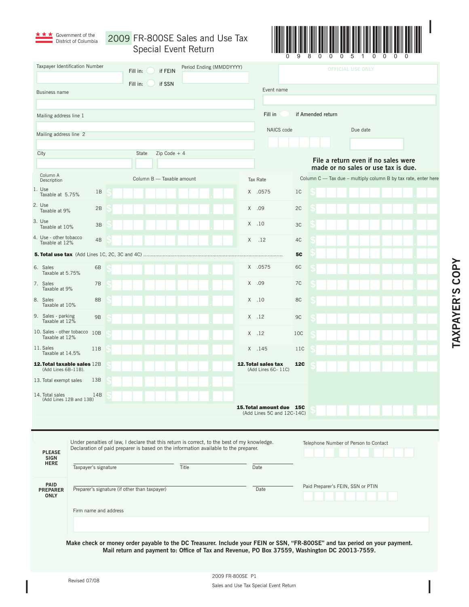| <b>★ ★ ★</b> Government of the |
|--------------------------------|
| District of Columbia           |

2009 FR-800SE Sales and Use Tax Special Event Return



| Taxpayer Identification Number                     |                                                                                                                             |                                               | Fill in:                                                                                                                                                                           | if FEIN                   |       | Period Ending (MMDDYYYY) |          |                                                                                                |                |                   |  | <b>OFFICIAL USE ONLY</b>                                                                              |  |  |  |
|----------------------------------------------------|-----------------------------------------------------------------------------------------------------------------------------|-----------------------------------------------|------------------------------------------------------------------------------------------------------------------------------------------------------------------------------------|---------------------------|-------|--------------------------|----------|------------------------------------------------------------------------------------------------|----------------|-------------------|--|-------------------------------------------------------------------------------------------------------|--|--|--|
|                                                    |                                                                                                                             |                                               | Fill in:                                                                                                                                                                           | if SSN                    |       |                          |          |                                                                                                |                |                   |  |                                                                                                       |  |  |  |
| <b>Business name</b>                               |                                                                                                                             |                                               |                                                                                                                                                                                    |                           |       |                          |          | Event name                                                                                     |                |                   |  |                                                                                                       |  |  |  |
|                                                    |                                                                                                                             |                                               |                                                                                                                                                                                    |                           |       |                          |          | Fill in                                                                                        |                | if Amended return |  |                                                                                                       |  |  |  |
| Mailing address line 1                             |                                                                                                                             |                                               |                                                                                                                                                                                    |                           |       |                          |          |                                                                                                |                |                   |  |                                                                                                       |  |  |  |
| Mailing address line 2                             |                                                                                                                             |                                               |                                                                                                                                                                                    |                           |       |                          |          | NAICS code                                                                                     |                |                   |  | Due date                                                                                              |  |  |  |
|                                                    |                                                                                                                             |                                               | State                                                                                                                                                                              | $Zip Code + 4$            |       |                          |          |                                                                                                |                |                   |  |                                                                                                       |  |  |  |
| City                                               |                                                                                                                             |                                               |                                                                                                                                                                                    |                           |       |                          |          |                                                                                                |                |                   |  | File a return even if no sales were                                                                   |  |  |  |
| Column A<br>Description                            |                                                                                                                             |                                               |                                                                                                                                                                                    | Column B - Taxable amount |       |                          | Tax Rate |                                                                                                |                |                   |  | made or no sales or use tax is due.<br>Column C - Tax due - multiply column B by tax rate, enter here |  |  |  |
| 1. Use<br>Taxable at 5.75%                         | 1B                                                                                                                          |                                               |                                                                                                                                                                                    |                           |       |                          |          | X .0575                                                                                        | 1 <sup>C</sup> |                   |  |                                                                                                       |  |  |  |
| 2. Use<br>Taxable at 9%                            | 2B                                                                                                                          |                                               |                                                                                                                                                                                    |                           |       |                          | $X$ .09  |                                                                                                | 2C             |                   |  |                                                                                                       |  |  |  |
| 3. Use<br>Taxable at 10%                           | 3B                                                                                                                          |                                               |                                                                                                                                                                                    |                           |       |                          | $X$ .10  |                                                                                                | 3C             |                   |  |                                                                                                       |  |  |  |
| 4. Use - other tobacco<br>Taxable at 12%           | 4B                                                                                                                          |                                               |                                                                                                                                                                                    |                           |       |                          | Χ        | .12                                                                                            | 4C             |                   |  |                                                                                                       |  |  |  |
|                                                    | <b>5. Total use tax</b> (Add Lines 1C, 2C, 3C and 4C)                                                                       |                                               |                                                                                                                                                                                    |                           |       |                          |          |                                                                                                | <b>5C</b>      |                   |  |                                                                                                       |  |  |  |
| 6. Sales<br>Taxable at 5.75%                       | 6B                                                                                                                          |                                               |                                                                                                                                                                                    |                           |       |                          |          | X .0575                                                                                        | 6C             |                   |  |                                                                                                       |  |  |  |
| 7. Sales<br>Taxable at 9%                          | 7B                                                                                                                          |                                               |                                                                                                                                                                                    |                           |       |                          | X        | .09                                                                                            | 7C             |                   |  |                                                                                                       |  |  |  |
| 8. Sales<br>Taxable at 10%                         | 8B                                                                                                                          |                                               |                                                                                                                                                                                    |                           |       |                          | $X$ .10  |                                                                                                | 8C             |                   |  |                                                                                                       |  |  |  |
| 9. Sales - parking<br>Taxable at 12%               | 9B                                                                                                                          |                                               |                                                                                                                                                                                    |                           |       |                          | $X$ .12  |                                                                                                | 9C             |                   |  |                                                                                                       |  |  |  |
| 10. Sales - other tobacco<br>Taxable at 12%        | 10B                                                                                                                         |                                               |                                                                                                                                                                                    |                           |       |                          | $X$ .12  |                                                                                                | 10C            |                   |  |                                                                                                       |  |  |  |
| 11. Sales<br>11B<br>Taxable at 14.5%               |                                                                                                                             |                                               |                                                                                                                                                                                    |                           |       |                          | X .145   |                                                                                                | 11C            |                   |  |                                                                                                       |  |  |  |
| 12. Total taxable sales 12B<br>(Add Lines 6B-11B). |                                                                                                                             |                                               |                                                                                                                                                                                    |                           |       |                          |          | <b>12. Total sales tax</b><br>(Add Lines 6C-11C)                                               | <b>12C</b>     |                   |  |                                                                                                       |  |  |  |
| 13. Total exempt sales                             | 13B                                                                                                                         |                                               |                                                                                                                                                                                    |                           |       |                          |          |                                                                                                |                |                   |  |                                                                                                       |  |  |  |
| 14. Total sales                                    | 14B<br>(Add Lines 12B and 13B)                                                                                              |                                               |                                                                                                                                                                                    |                           |       |                          |          |                                                                                                |                |                   |  |                                                                                                       |  |  |  |
|                                                    |                                                                                                                             |                                               |                                                                                                                                                                                    |                           |       |                          |          | 15. Total amount due 15C<br>(Add Lines 5C and 12C-14C)                                         |                |                   |  |                                                                                                       |  |  |  |
|                                                    |                                                                                                                             |                                               |                                                                                                                                                                                    |                           |       |                          |          |                                                                                                |                |                   |  |                                                                                                       |  |  |  |
|                                                    |                                                                                                                             |                                               |                                                                                                                                                                                    |                           |       |                          |          |                                                                                                |                |                   |  | Telephone Number of Person to Contact                                                                 |  |  |  |
| <b>PLEASE</b>                                      |                                                                                                                             |                                               | Under penalties of law, I declare that this return is correct, to the best of my knowledge.<br>Declaration of paid preparer is based on the information available to the preparer. |                           |       |                          |          |                                                                                                |                |                   |  |                                                                                                       |  |  |  |
| <b>SIGN</b><br><b>HERE</b>                         | Taxpayer's signature                                                                                                        |                                               |                                                                                                                                                                                    |                           | Title |                          | Date     |                                                                                                |                |                   |  |                                                                                                       |  |  |  |
| PAID                                               |                                                                                                                             |                                               |                                                                                                                                                                                    |                           |       |                          |          | Paid Preparer's FEIN, SSN or PTIN                                                              |                |                   |  |                                                                                                       |  |  |  |
| <b>PREPARER</b><br><b>ONLY</b>                     |                                                                                                                             | Preparer's signature (if other than taxpayer) |                                                                                                                                                                                    |                           |       |                          | Date     |                                                                                                |                |                   |  |                                                                                                       |  |  |  |
|                                                    | Firm name and address                                                                                                       |                                               |                                                                                                                                                                                    |                           |       |                          |          |                                                                                                |                |                   |  |                                                                                                       |  |  |  |
|                                                    |                                                                                                                             |                                               |                                                                                                                                                                                    |                           |       |                          |          |                                                                                                |                |                   |  |                                                                                                       |  |  |  |
|                                                    |                                                                                                                             |                                               |                                                                                                                                                                                    |                           |       |                          |          |                                                                                                |                |                   |  |                                                                                                       |  |  |  |
|                                                    | Make check or money order payable to the DC Treasurer. Include your FEIN or SSN, "FR-800SE" and tax period on your payment. |                                               |                                                                                                                                                                                    |                           |       |                          |          | Mail return and payment to: Office of Tax and Revenue, PO Box 37559, Washington DC 20013-7559. |                |                   |  |                                                                                                       |  |  |  |